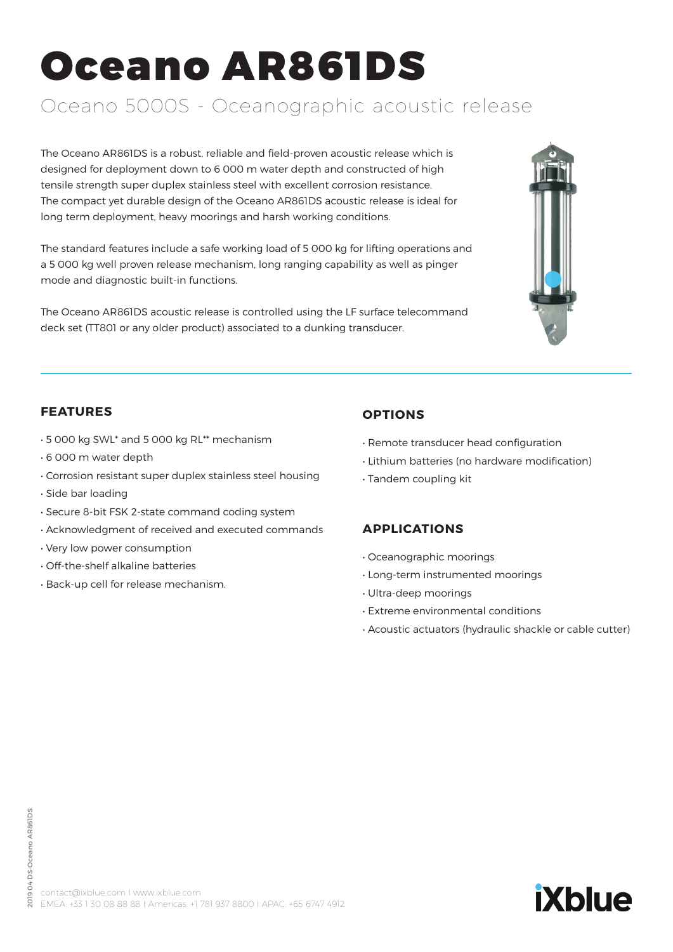# Oceano AR861DS

# Oceano 5000S - Oceanographic acoustic release

The Oceano AR861DS is a robust, reliable and field-proven acoustic release which is designed for deployment down to 6 000 m water depth and constructed of high tensile strength super duplex stainless steel with excellent corrosion resistance. The compact yet durable design of the Oceano AR861DS acoustic release is ideal for long term deployment, heavy moorings and harsh working conditions.

The standard features include a safe working load of 5 000 kg for lifting operations and a 5 000 kg well proven release mechanism, long ranging capability as well as pinger mode and diagnostic built-in functions.

The Oceano AR861DS acoustic release is controlled using the LF surface telecommand deck set (TT801 or any older product) associated to a dunking transducer.



### **FEATURES**

- 5 000 kg SWL\* and 5 000 kg RL\*\* mechanism
- 6 000 m water depth
- Corrosion resistant super duplex stainless steel housing
- Side bar loading
- Secure 8-bit FSK 2-state command coding system
- Acknowledgment of received and executed commands
- Very low power consumption
- Off-the-shelf alkaline batteries
- Back-up cell for release mechanism.

# **OPTIONS**

- Remote transducer head configuration
- Lithium batteries (no hardware modification)
- Tandem coupling kit

# **APPLICATIONS**

- Oceanographic moorings
- Long-term instrumented moorings
- Ultra-deep moorings
- Extreme environmental conditions
- Acoustic actuators (hydraulic shackle or cable cutter)

**iXblue**